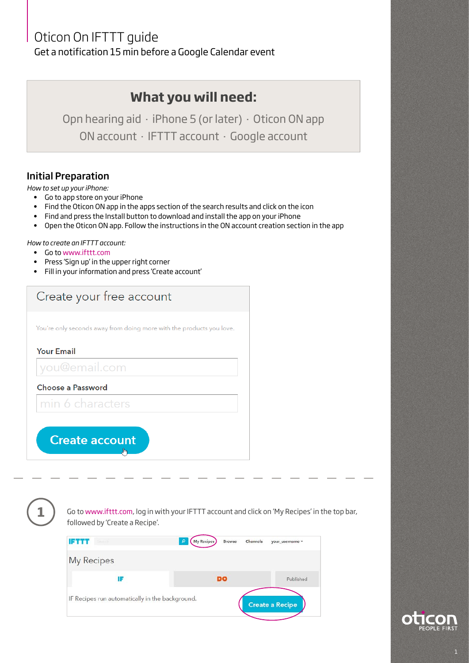## Oticon On IFTTT guide

Get a notification 15 min before a Google Calendar event

## **What you will need:**

Opn hearing aid **.** iPhone 5 (or later) **.** Oticon ON app ON account **.** IFTTT account **.** Google account

## Initial Preparation

*How to set up your iPhone:*

- Go to app store on your iPhone
- Find the Oticon ON app in the apps section of the search results and click on the icon
- Find and press the Install button to download and install the app on your iPhone
- Open the Oticon ON app. Follow the instructions in the ON account creation section in the app

## *How to create an IFTTT account:*

- Go to www.ifttt.com
- Press 'Sign up' in the upper right corner
- Fill in your information and press 'Create account'

| Create your free account                                             |  |
|----------------------------------------------------------------------|--|
| You're only seconds away from doing more with the products you love. |  |
| <b>Your Email</b>                                                    |  |
| you@email.com                                                        |  |
| Choose a Password                                                    |  |
| min 6 characters                                                     |  |
| <b>Create account</b><br>hm                                          |  |

**1**

Go to www.ifttt.com, log in with your IFTTT account and click on 'My Recipes' in the top bar, followed by 'Create a Recipe'.



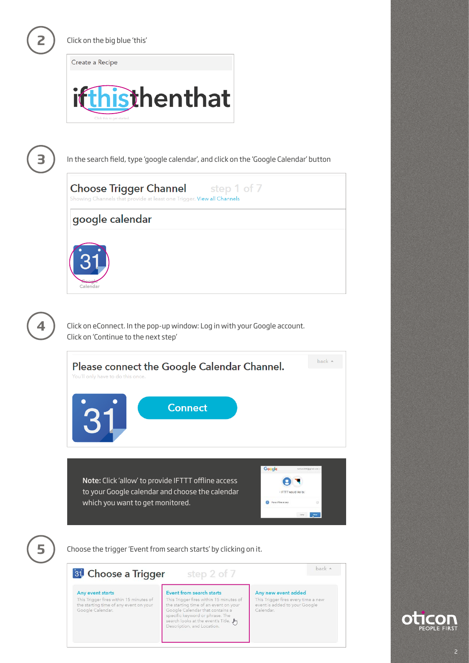**2**

Click on the big blue 'this'

Create a Recipe





**4**

In the search field, type 'google calendar', and click on the 'Google Calendar' button

| <b>Choose Trigger Channel</b> step 1 of 7<br>Showing Channels that provide at least one Trigger. View all Channels |                              |
|--------------------------------------------------------------------------------------------------------------------|------------------------------|
| google calendar                                                                                                    |                              |
| 'alendar                                                                                                           |                              |
| Click on eConnect. In the pop-up window: Log in with your Google account.<br>Click on 'Continue to the next step'  |                              |
|                                                                                                                    | <b>The Contract Contract</b> |



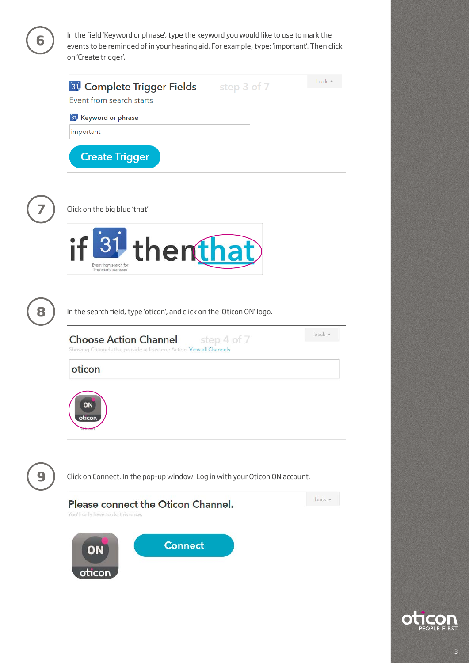**6** In the field 'Keyword or phrase', type the keyword you would like to use to mark the events to be reminded of in your hearing aid. For example, type: 'important'. Then click on 'Create trigger'.

| <b>81</b> Complete Trigger Fields<br>Event from search starts | step 3 of 7 | back $\triangle$ |
|---------------------------------------------------------------|-------------|------------------|
| <b>31</b> Keyword or phrase                                   |             |                  |
| important                                                     |             |                  |
| <b>Create Trigger</b>                                         |             |                  |



**7** Click on the big blue 'that'





In the search field, type 'oticon', and click on the 'Oticon ON' logo.



**9**

Click on Connect. In the pop-up window: Log in with your Oticon ON account.

| You'll only have to do this once. | Please connect the Oticon Channel. | back + |
|-----------------------------------|------------------------------------|--------|
| ON<br>oticon                      | <b>Connect</b>                     |        |